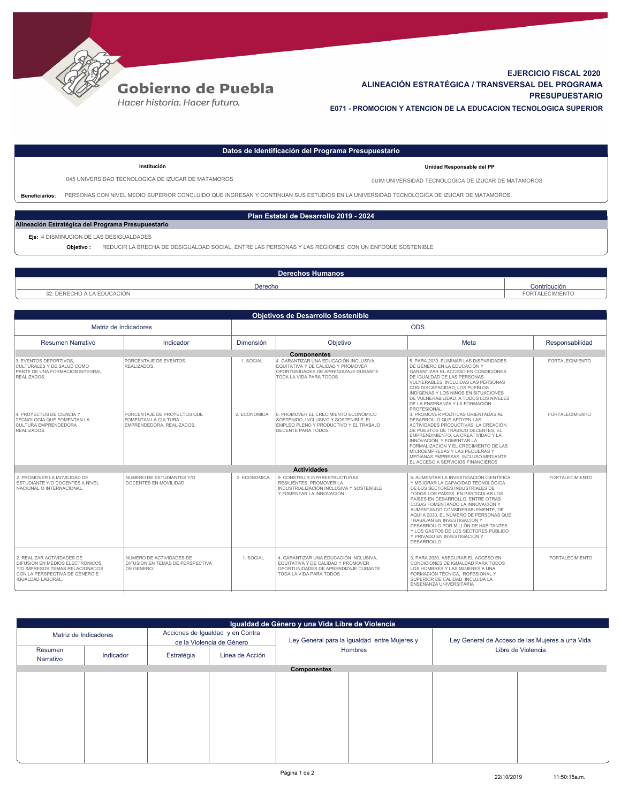

## **Gobierno de Puebla**

Hacer historia. Hacer futuro.

## **EJERCICIO FISCAL 2020 ALINEACIÓN ESTRATÉGICA / TRANSVERSAL DEL PROGRAMA PRESUPUESTARIO E071 - PROMOCION Y ATENCION DE LA EDUCACION TECNOLOGICA SUPERIOR**

| Datos de Identificación del Programa Presupuestario |                                                                                                                                         |                                                     |  |  |  |  |  |
|-----------------------------------------------------|-----------------------------------------------------------------------------------------------------------------------------------------|-----------------------------------------------------|--|--|--|--|--|
|                                                     | Institución                                                                                                                             | Unidad Responsable del PP                           |  |  |  |  |  |
|                                                     | 045 UNIVERSIDAD TECNOLOGICA DE IZUCAR DE MATAMOROS                                                                                      | OUIM UNIVERSIDAD TECNOLOGICA DE IZUCAR DE MATAMOROS |  |  |  |  |  |
| <b>Beneficiarios:</b>                               | PERSONAS CON NIVEL MEDIO SUPERIOR CONCLUIDO QUE INGRESAN Y CONTINUAN SUS ESTUDIOS EN LA UNIVERSIDAD TECNOLOGICA DE IZUCAR DE MATAMOROS. |                                                     |  |  |  |  |  |
| Plan Estatal de Desarrollo 2019 - 2024              |                                                                                                                                         |                                                     |  |  |  |  |  |
| Alineación Estratégica del Programa Presupuestario  |                                                                                                                                         |                                                     |  |  |  |  |  |
|                                                     | Eje: 4 DISMINUCION DE LAS DESIGUALDADES                                                                                                 |                                                     |  |  |  |  |  |
|                                                     | REDUCIR LA BRECHA DE DESIGUALDAD SOCIAL, ENTRE LAS PERSONAS Y LAS REGIONES, CON UN ENFOQUE SOSTENIBLE<br>Objetivo:                      |                                                     |  |  |  |  |  |

| Derechos<br>⊾Humanos'  |                          |  |  |  |  |
|------------------------|--------------------------|--|--|--|--|
| Derecho                | Contribución             |  |  |  |  |
| DERECHO A LA EDUCACIÓN | <b>ECIMIENTO</b><br>⊏∩Þ` |  |  |  |  |
|                        |                          |  |  |  |  |

| <b>Obietivos de Desarrollo Sostenible</b>                                                                                                                     |                                                                                 |              |                                                                                                                                                 |                                                                                                                                                                                                                                                                                                                                                                                                                                                                                    |                        |  |  |  |
|---------------------------------------------------------------------------------------------------------------------------------------------------------------|---------------------------------------------------------------------------------|--------------|-------------------------------------------------------------------------------------------------------------------------------------------------|------------------------------------------------------------------------------------------------------------------------------------------------------------------------------------------------------------------------------------------------------------------------------------------------------------------------------------------------------------------------------------------------------------------------------------------------------------------------------------|------------------------|--|--|--|
| Matriz de Indicadores                                                                                                                                         |                                                                                 | <b>ODS</b>   |                                                                                                                                                 |                                                                                                                                                                                                                                                                                                                                                                                                                                                                                    |                        |  |  |  |
| <b>Resumen Narrativo</b>                                                                                                                                      | Indicador                                                                       | Dimensión    | Objetivo                                                                                                                                        | Meta                                                                                                                                                                                                                                                                                                                                                                                                                                                                               | Responsabilidad        |  |  |  |
|                                                                                                                                                               |                                                                                 |              | <b>Componentes</b>                                                                                                                              |                                                                                                                                                                                                                                                                                                                                                                                                                                                                                    |                        |  |  |  |
| 3. EVENTOS DEPORTIVOS.<br>CULTURALES Y DE SALUD COMO<br>PARTE DE UNA FORMACION INTEGRAL<br>REALIZADOS                                                         | PORCENTAJE DE EVENTOS<br>REALIZADOS                                             | 1. SOCIAL    | 4. GARANTIZAR UNA EDUCACIÓN INCLUSIVA.<br>EQUITATIVA Y DE CALIDAD Y PROMOVER<br>OPORTUNIDADES DE APRENDIZAJE DURANTE<br>TODA LA VIDA PARA TODOS | 5. PARA 2030. ELIMINAR LAS DISPARIDADES<br>DE GÉNERO EN LA EDUCACIÓN Y<br>GARANTIZAR EL ACCESO EN CONDICIONES<br>DE IGUALDAD DE LAS PERSONAS<br>VULNERABLES. INCLUIDAS LAS PERSONAS<br>CON DISCAPACIDAD, LOS PUEBLOS<br>INDÍGENAS Y LOS NIÑOS EN SITUACIONES<br>DE VULNERABILIDAD. A TODOS LOS NIVELES<br>DE LA ENSEÑANZA Y LA EORMACIÓN<br>PROFESIONAL                                                                                                                            | <b>FORTALECIMIENTO</b> |  |  |  |
| 4. PROYECTOS DE CIENCIA Y<br>TECNOLOGIA QUE FOMENTAN LA<br><b>CULTURA EMPRENDEDORA</b><br>REALIZADOS.                                                         | PORCENTAJE DE PROYECTOS QUE<br>FOMENTAN LA CULTURA<br>EMPRENDEDORA, REALIZADOS. | 2. ECONOMICA | 8. PROMOVER EL CRECIMIENTO ECONÓMICO<br>SOSTENIDO. INCLUSIVO Y SOSTENIBLE. EL<br>EMPLEO PLENO Y PRODUCTIVO Y EL TRABAJO<br>DECENTE PARA TODOS   | 3. PROMOVER POLÍTICAS ORIENTADAS AL<br>DESARROLLO QUE APOYEN LAS<br>ACTIVIDADES PRODUCTIVAS. LA CREACIÓN<br>DE PUESTOS DE TRABAJO DECENTES. EL<br>EMPRENDIMIENTO. LA CREATIVIDAD Y LA<br>INNOVACIÓN. Y FOMENTAR LA<br>FORMALIZACIÓN Y EL CRECIMIENTO DE LAS<br>MICROEMPRESAS Y LAS PEQUEÑAS Y<br>MEDIANAS EMPRESAS. INCLUSO MEDIANTE<br>EL ACCESO A SERVICIOS FINANCIEROS                                                                                                          | <b>FORTALECIMIENTO</b> |  |  |  |
|                                                                                                                                                               |                                                                                 |              | <b>Actividades</b>                                                                                                                              |                                                                                                                                                                                                                                                                                                                                                                                                                                                                                    |                        |  |  |  |
| 2. PROMOVER LA MOVILIDAD DE<br><b>ESTUDIANTE Y/O DOCENTES A NIVEL</b><br>NACIONAL O INTERNACIONAL.                                                            | NUMERO DE ESTUDIANTES Y/O<br>DOCENTES EN MOVILIDAD.                             | 2. ECONOMICA | 9. CONSTRUIR INFRAESTRUCTURAS<br>RESILIENTES. PROMOVER LA<br>INDUSTRIALIZACIÓN INCLUSIVA Y SOSTENIBLE<br>Y FOMENTAR LA INNOVACIÓN               | 5. AUMENTAR LA INVESTIGACIÓN CIENTÍFICA<br>Y MEJORAR LA CAPACIDAD TECNOLÓGICA<br>DE LOS SECTORES INDUSTRIALES DE<br>TODOS LOS PAÍSES. EN PARTICULAR LOS<br>PAÍSES EN DESARROLLO. ENTRE OTRAS<br>COSAS FOMENTANDO LA INNOVACIÓN Y<br>AUMENTANDO CONSIDERABI EMENTE. DE<br>AQUÍ A 2030. EL NÚMERO DE PERSONAS QUE<br>TRABAJAN EN INVESTIGACIÓN Y<br>DESARROLLO POR MILLÓN DE HABITANTES<br>Y LOS GASTOS DE LOS SECTORES PÚBLICO<br>Y PRIVADO EN INVESTIGACIÓN Y<br><b>DESARROLLO</b> | <b>FORTALECIMIENTO</b> |  |  |  |
| 2. REALIZAR ACTIVIDADES DE<br>DIFUSION EN MEDIOS ELECTRONICOS<br>Y/O IMPRESOS TEMAS RELACIONADOS<br>CON LA PERSPECTIVA DE GENERO E<br><b>IGUALDAD LABORAL</b> | NUMERO DE ACTIVIDADES DE<br>DIFUSION EN TEMAS DE PERSPECTIVA<br>DE GENERO.      | 1. SOCIAL    | 4. GARANTIZAR UNA EDUCACIÓN INCLUSIVA.<br>EQUITATIVA Y DE CALIDAD Y PROMOVER<br>OPORTUNIDADES DE APRENDIZAJE DURANTE<br>TODA LA VIDA PARA TODOS | 3. PARA 2030. ASEGURAR EL ACCESO EN<br>CONDICIONES DE IGUALDAD PARA TODOS<br>LOS HOMBRES Y LAS MUJERES A UNA<br>FORMACIÓN TÉCNICA. ROFESIONAL Y<br>SUPERIOR DE CALIDAD. INCLUIDA LA<br>ENSEÑANZA UNIVERSITARIA                                                                                                                                                                                                                                                                     | <b>FORTALECIMIENTO</b> |  |  |  |

| Igualdad de Género y una Vida Libre de Violencia |                    |                                                               |                 |                                              |  |                                                 |  |  |  |  |
|--------------------------------------------------|--------------------|---------------------------------------------------------------|-----------------|----------------------------------------------|--|-------------------------------------------------|--|--|--|--|
| Matriz de Indicadores                            |                    | Acciones de Igualdad y en Contra<br>de la Violencia de Género |                 | Ley General para la Igualdad entre Mujeres y |  | Ley General de Acceso de las Mujeres a una Vida |  |  |  |  |
| Resumen<br>Narrativo                             | Indicador          | Estratégia                                                    | Linea de Acción | Hombres                                      |  | Libre de Violencia                              |  |  |  |  |
|                                                  | <b>Componentes</b> |                                                               |                 |                                              |  |                                                 |  |  |  |  |
|                                                  |                    |                                                               |                 |                                              |  |                                                 |  |  |  |  |